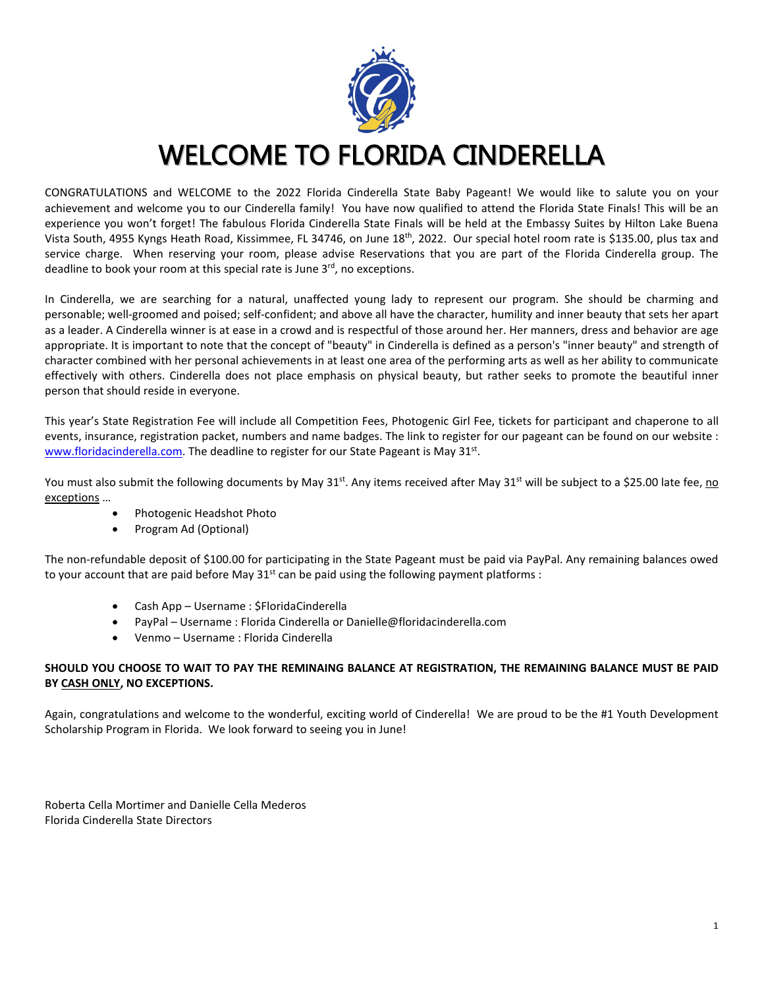

### WELCOME TO FLORIDA CINDERELLA

CONGRATULATIONS and WELCOME to the 2022 Florida Cinderella State Baby Pageant! We would like to salute you on your achievement and welcome you to our Cinderella family! You have now qualified to attend the Florida State Finals! This will be an experience you won't forget! The fabulous Florida Cinderella State Finals will be held at the Embassy Suites by Hilton Lake Buena Vista South, 4955 Kyngs Heath Road, Kissimmee, FL 34746, on June 18th, 2022. Our special hotel room rate is \$135.00, plus tax and service charge. When reserving your room, please advise Reservations that you are part of the Florida Cinderella group. The deadline to book your room at this special rate is June 3<sup>rd</sup>, no exceptions.

In Cinderella, we are searching for a natural, unaffected young lady to represent our program. She should be charming and personable; well-groomed and poised; self-confident; and above all have the character, humility and inner beauty that sets her apart as a leader. A Cinderella winner is at ease in a crowd and is respectful of those around her. Her manners, dress and behavior are age appropriate. It is important to note that the concept of "beauty" in Cinderella is defined as a person's "inner beauty" and strength of character combined with her personal achievements in at least one area of the performing arts as well as her ability to communicate effectively with others. Cinderella does not place emphasis on physical beauty, but rather seeks to promote the beautiful inner person that should reside in everyone.

This year's State Registration Fee will include all Competition Fees, Photogenic Girl Fee, tickets for participant and chaperone to all events, insurance, registration packet, numbers and name badges. The link to register for our pageant can be found on our website : [www.floridacinderella.com.](http://www.floridacinderella.com/) The deadline to register for our State Pageant is May 31st.

You must also submit the following documents by May 31<sup>st</sup>. Any items received after May 31<sup>st</sup> will be subject to a \$25.00 late fee, no exceptions …

- Photogenic Headshot Photo
- Program Ad (Optional)

The non-refundable deposit of \$100.00 for participating in the State Pageant must be paid via PayPal. Any remaining balances owed to your account that are paid before May  $31^{st}$  can be paid using the following payment platforms :

- Cash App Username : \$FloridaCinderella
- PayPal Username : Florida Cinderella or Danielle@floridacinderella.com
- Venmo Username : Florida Cinderella

#### **SHOULD YOU CHOOSE TO WAIT TO PAY THE REMINAING BALANCE AT REGISTRATION, THE REMAINING BALANCE MUST BE PAID BY CASH ONLY, NO EXCEPTIONS.**

Again, congratulations and welcome to the wonderful, exciting world of Cinderella! We are proud to be the #1 Youth Development Scholarship Program in Florida. We look forward to seeing you in June!

Roberta Cella Mortimer and Danielle Cella Mederos Florida Cinderella State Directors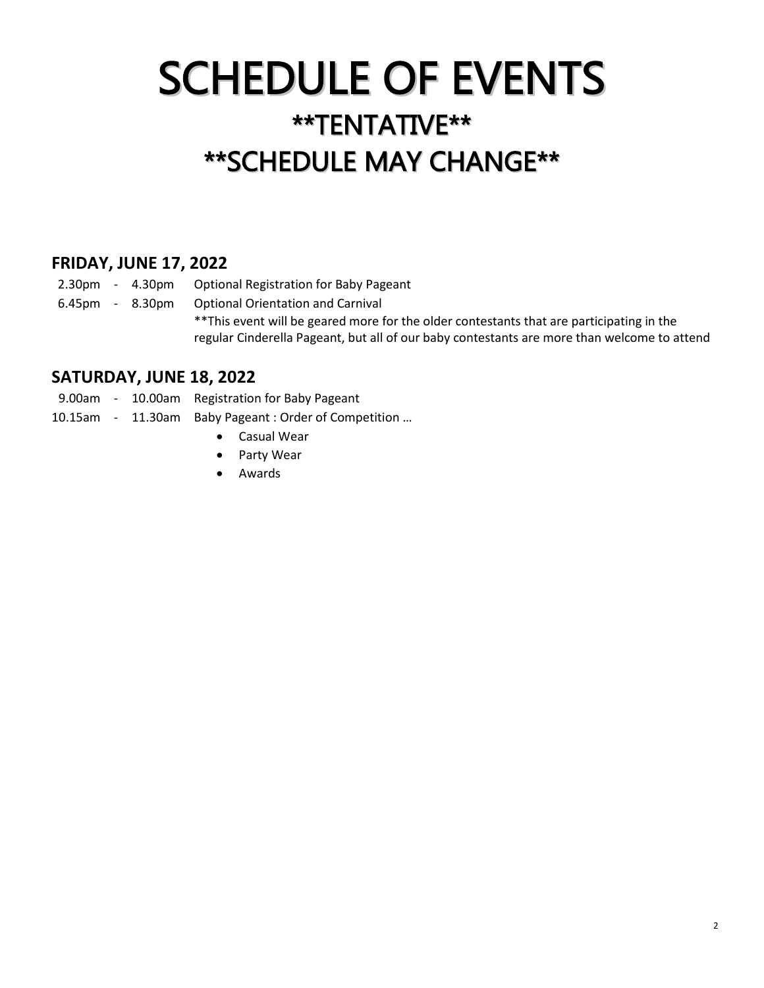# SCHEDULE OF EVENTS \*\*TENTATIVE\*\* \*\*SCHEDULE MAY CHANGE\*\*

#### **FRIDAY, JUNE 17, 2022**

2.30pm - 4.30pm Optional Registration for Baby Pageant

6.45pm - 8.30pm Optional Orientation and Carnival

\*\*This event will be geared more for the older contestants that are participating in the regular Cinderella Pageant, but all of our baby contestants are more than welcome to attend

#### **SATURDAY, JUNE 18, 2022**

9.00am - 10.00am Registration for Baby Pageant

- 10.15am 11.30am Baby Pageant : Order of Competition …
	- Casual Wear
	- Party Wear
	- Awards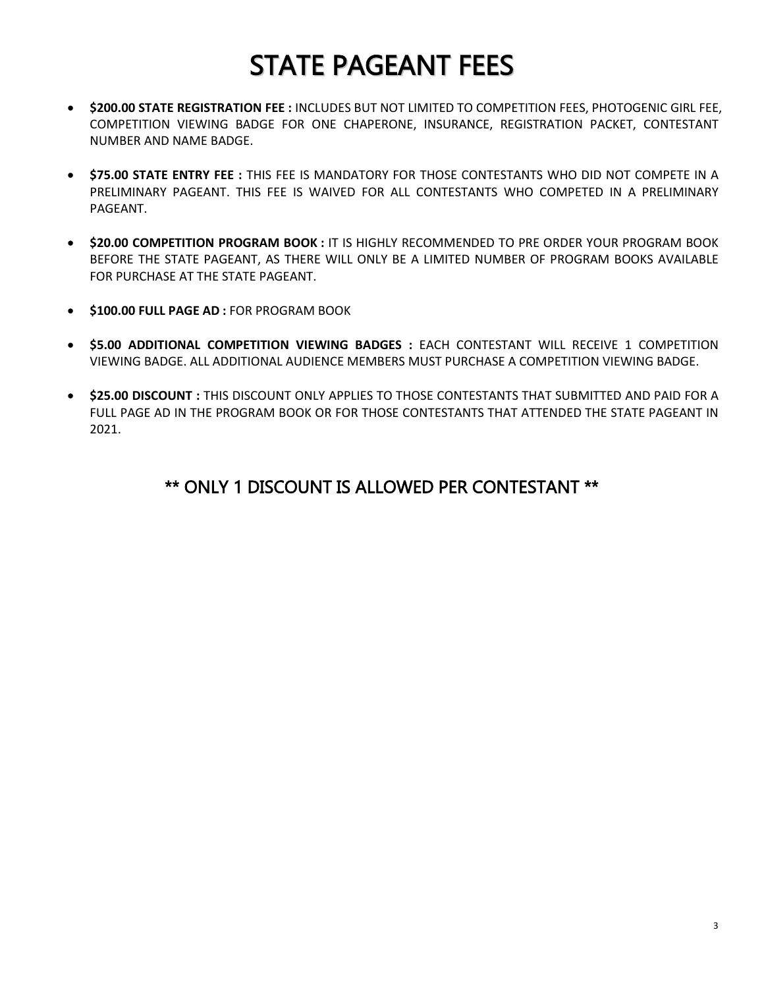## STATE PAGEANT FEES

- **\$200.00 STATE REGISTRATION FEE :** INCLUDES BUT NOT LIMITED TO COMPETITION FEES, PHOTOGENIC GIRL FEE, COMPETITION VIEWING BADGE FOR ONE CHAPERONE, INSURANCE, REGISTRATION PACKET, CONTESTANT NUMBER AND NAME BADGE.
- **\$75.00 STATE ENTRY FEE :** THIS FEE IS MANDATORY FOR THOSE CONTESTANTS WHO DID NOT COMPETE IN A PRELIMINARY PAGEANT. THIS FEE IS WAIVED FOR ALL CONTESTANTS WHO COMPETED IN A PRELIMINARY PAGEANT.
- **\$20.00 COMPETITION PROGRAM BOOK :** IT IS HIGHLY RECOMMENDED TO PRE ORDER YOUR PROGRAM BOOK BEFORE THE STATE PAGEANT, AS THERE WILL ONLY BE A LIMITED NUMBER OF PROGRAM BOOKS AVAILABLE FOR PURCHASE AT THE STATE PAGEANT.
- **\$100.00 FULL PAGE AD :** FOR PROGRAM BOOK
- **\$5.00 ADDITIONAL COMPETITION VIEWING BADGES :** EACH CONTESTANT WILL RECEIVE 1 COMPETITION VIEWING BADGE. ALL ADDITIONAL AUDIENCE MEMBERS MUST PURCHASE A COMPETITION VIEWING BADGE.
- **\$25.00 DISCOUNT :** THIS DISCOUNT ONLY APPLIES TO THOSE CONTESTANTS THAT SUBMITTED AND PAID FOR A FULL PAGE AD IN THE PROGRAM BOOK OR FOR THOSE CONTESTANTS THAT ATTENDED THE STATE PAGEANT IN 2021.

#### \*\* ONLY 1 DISCOUNT IS ALLOWED PER CONTESTANT \*\*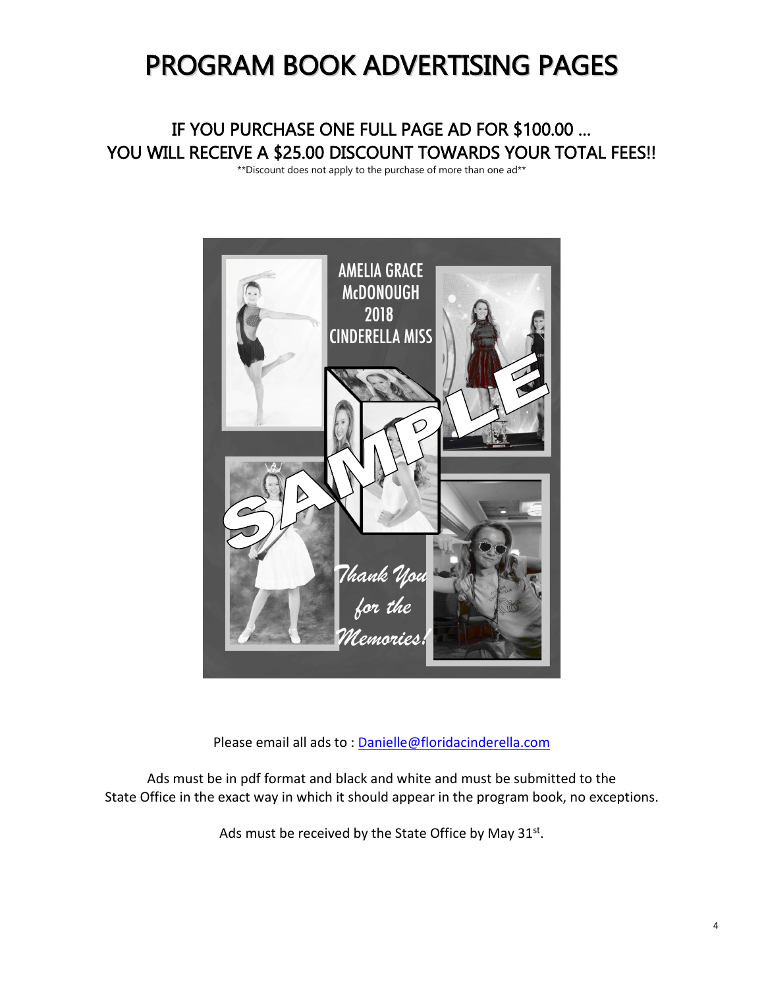### PROGRAM BOOK ADVERTISING PAGES

### IF YOU PURCHASE ONE FULL PAGE AD FOR \$100.00 … YOU WILL RECEIVE A \$25.00 DISCOUNT TOWARDS YOUR TOTAL FEES!! YOU WILL RECEIVE A \$25.00 DISCOUNT TOWARDS YOUR TOTAL FEES!!



Please email all ads to : [Danielle@floridacinderella.com](mailto:Danielle@floridacinderella.com) 

Ads must be in pdf format and black and white and must be submitted to the State Office in the exact way in which it should appear in the program book, no exceptions.

Ads must be received by the State Office by May 31<sup>st</sup>.